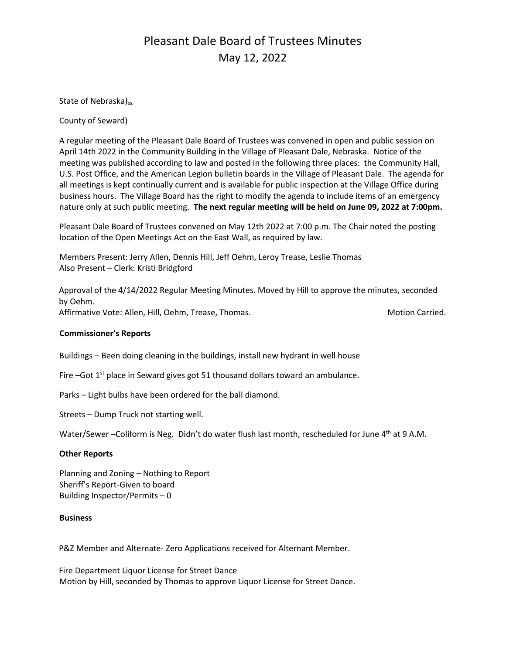## Pleasant Dale Board of Trustees Minutes May 12, 2022

State of Nebraska)<sub>ss.</sub>

County of Seward)

A regular meeting of the Pleasant Dale Board of Trustees was convened in open and public session on April 14th 2022 in the Community Building in the Village of Pleasant Dale, Nebraska. Notice of the meeting was published according to law and posted in the following three places: the Community Hall, U.S. Post Office, and the American Legion bulletin boards in the Village of Pleasant Dale. The agenda for all meetings is kept continually current and is available for public inspection at the Village Office during business hours. The Village Board has the right to modify the agenda to include items of an emergency nature only at such public meeting. **The next regular meeting will be held on June 09, 2022 at 7:00pm.** 

Pleasant Dale Board of Trustees convened on May 12th 2022 at 7:00 p.m. The Chair noted the posting location of the Open Meetings Act on the East Wall, as required by law.

Members Present: Jerry Allen, Dennis Hill, Jeff Oehm, Leroy Trease, Leslie Thomas Also Present – Clerk: Kristi Bridgford

Approval of the 4/14/2022 Regular Meeting Minutes. Moved by Hill to approve the minutes, seconded by Oehm. Affirmative Vote: Allen, Hill, Oehm, Trease, Thomas. Motion Carried. Motion Carried.

#### **Commissioner's Reports**

Buildings – Been doing cleaning in the buildings, install new hydrant in well house

Fire  $-$ Got  $1<sup>st</sup>$  place in Seward gives got 51 thousand dollars toward an ambulance.

Parks – Light bulbs have been ordered for the ball diamond.

Streets – Dump Truck not starting well.

Water/Sewer –Coliform is Neg. Didn't do water flush last month, rescheduled for June 4<sup>th</sup> at 9 A.M.

#### **Other Reports**

Planning and Zoning – Nothing to Report Sheriff's Report-Given to board Building Inspector/Permits – 0

#### **Business**

P&Z Member and Alternate- Zero Applications received for Alternant Member.

Fire Department Liquor License for Street Dance Motion by Hill, seconded by Thomas to approve Liquor License for Street Dance.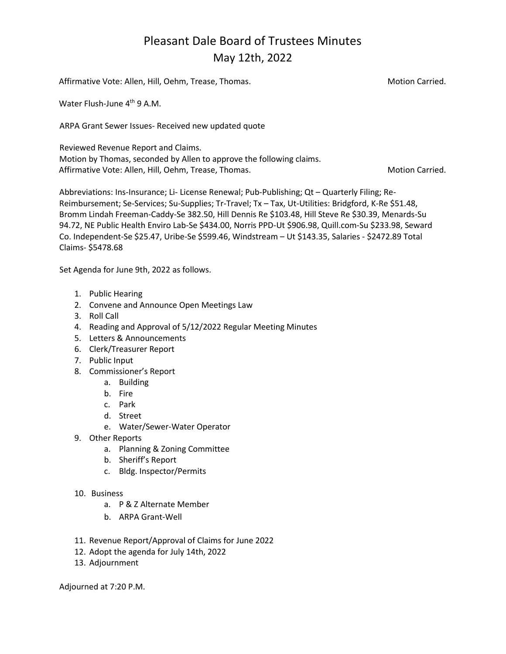# Pleasant Dale Board of Trustees Minutes May 12th, 2022

| Affirmative Vote: Allen, Hill, Oehm, Trease, Thomas.                                                                                                                                            | <b>Motion Carried.</b> |
|-------------------------------------------------------------------------------------------------------------------------------------------------------------------------------------------------|------------------------|
| Water Flush-June 4 <sup>th</sup> 9 A.M.                                                                                                                                                         |                        |
| ARPA Grant Sewer Issues- Received new updated quote                                                                                                                                             |                        |
| Reviewed Revenue Report and Claims.<br>Motion by Thomas, seconded by Allen to approve the following claims.<br>Affirmative Vote: Allen, Hill, Oehm, Trease, Thomas.                             | <b>Motion Carried.</b> |
| Abbreviations: Ins-Insurance; Li- License Renewal; Pub-Publishing; Qt – Quarterly Filing; Re-<br>Roimbursoment: So Senvices: Su Sunnligs: Tr Travel: Ty Tay 14 Utilities: Reideford K Ro CE1 40 |                        |

Reimbursement; Se-Services; Su-Supplies; Tr-Travel; Tx – Tax, Ut-Utilities: Bridgford, K-Re \$51.48, Bromm Lindah Freeman-Caddy-Se 382.50, Hill Dennis Re \$103.48, Hill Steve Re \$30.39, Menards-Su 94.72, NE Public Health Enviro Lab-Se \$434.00, Norris PPD-Ut \$906.98, Quill.com-Su \$233.98, Seward Co. Independent-Se \$25.47, Uribe-Se \$599.46, Windstream – Ut \$143.35, Salaries - \$2472.89 Total Claims- \$5478.68

Set Agenda for June 9th, 2022 as follows.

- 1. Public Hearing
- 2. Convene and Announce Open Meetings Law
- 3. Roll Call
- 4. Reading and Approval of 5/12/2022 Regular Meeting Minutes
- 5. Letters & Announcements
- 6. Clerk/Treasurer Report
- 7. Public Input
- 8. Commissioner's Report
	- a. Building
	- b. Fire
	- c. Park
	- d. Street
	- e. Water/Sewer-Water Operator
- 9. Other Reports
	- a. Planning & Zoning Committee
	- b. Sheriff's Report
	- c. Bldg. Inspector/Permits
- 10. Business
	- a. P & Z Alternate Member
	- b. ARPA Grant-Well
- 11. Revenue Report/Approval of Claims for June 2022
- 12. Adopt the agenda for July 14th, 2022
- 13. Adjournment

Adjourned at 7:20 P.M.